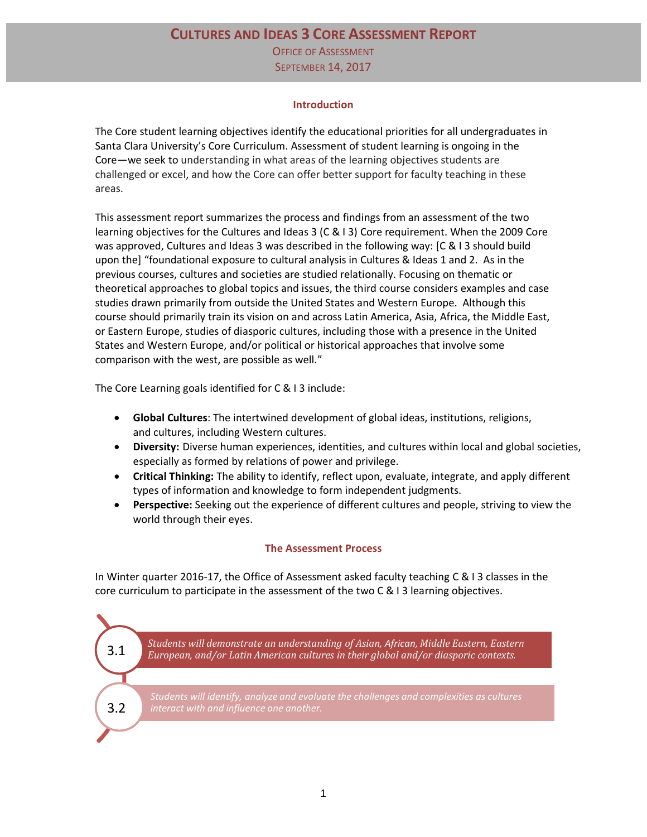# **CULTURES AND IDEAS 3 CORE ASSESSMENT REPORT**

OFFICE OF ASSESSMENT SEPTEMBER 14, 2017

#### **Introduction**

The Core student learning objectives identify the educational priorities for all undergraduates in Santa Clara University's Core Curriculum. Assessment of student learning is ongoing in the Core—we seek to understanding in what areas of the learning objectives students are challenged or excel, and how the Core can offer better support for faculty teaching in these areas.

This assessment report summarizes the process and findings from an assessment of the two learning objectives for the Cultures and Ideas 3 (C & I 3) Core requirement. When the 2009 Core was approved, Cultures and Ideas 3 was described in the following way: [C & I 3 should build upon the] "foundational exposure to cultural analysis in Cultures & Ideas 1 and 2. As in the previous courses, cultures and societies are studied relationally. Focusing on thematic or theoretical approaches to global topics and issues, the third course considers examples and case studies drawn primarily from outside the United States and Western Europe. Although this course should primarily train its vision on and across Latin America, Asia, Africa, the Middle East, or Eastern Europe, studies of diasporic cultures, including those with a presence in the United States and Western Europe, and/or political or historical approaches that involve some comparison with the west, are possible as well."

The Core Learning goals identified for C & I 3 include:

- **Global Cultures**: The intertwined development of global ideas, institutions, religions, and cultures, including Western cultures.
- **Diversity:** Diverse human experiences, identities, and cultures within local and global societies, especially as formed by relations of power and privilege.
- **Critical Thinking:** The ability to identify, reflect upon, evaluate, integrate, and apply different types of information and knowledge to form independent judgments.
- **Perspective:** Seeking out the experience of different cultures and people, striving to view the world through their eyes.

# **The Assessment Process**

In Winter quarter 2016-17, the Office of Assessment asked faculty teaching C & I 3 classes in the core curriculum to participate in the assessment of the two C & I 3 learning objectives.

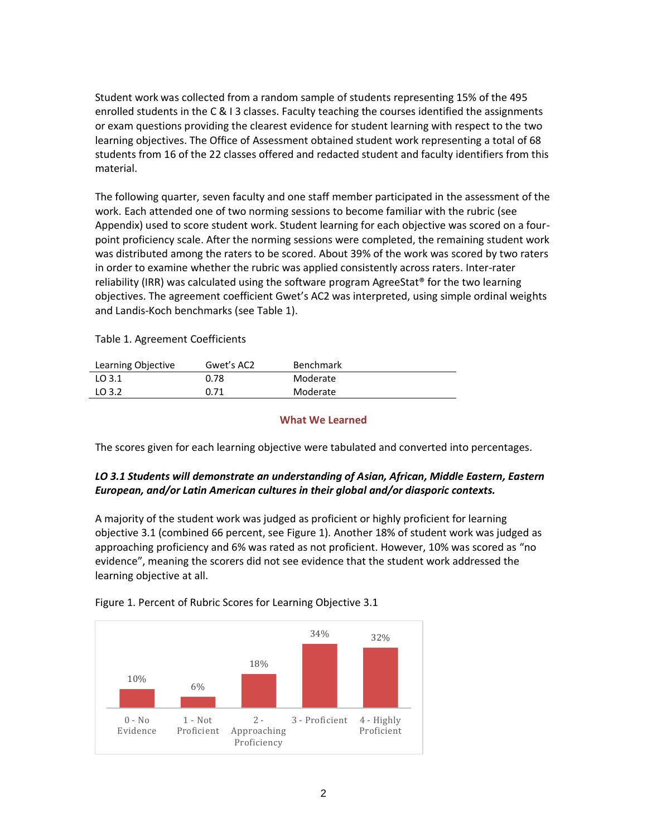Student work was collected from a random sample of students representing 15% of the 495 enrolled students in the C & I 3 classes. Faculty teaching the courses identified the assignments or exam questions providing the clearest evidence for student learning with respect to the two learning objectives. The Office of Assessment obtained student work representing a total of 68 students from 16 of the 22 classes offered and redacted student and faculty identifiers from this material.

The following quarter, seven faculty and one staff member participated in the assessment of the work. Each attended one of two norming sessions to become familiar with the rubric (see Appendix) used to score student work. Student learning for each objective was scored on a fourpoint proficiency scale. After the norming sessions were completed, the remaining student work was distributed among the raters to be scored. About 39% of the work was scored by two raters in order to examine whether the rubric was applied consistently across raters. Inter-rater reliability (IRR) was calculated using the software program AgreeStat<sup>®</sup> for the two learning objectives. The agreement coefficient Gwet's AC2 was interpreted, using simple ordinal weights and Landis-Koch benchmarks (see Table 1).

Table 1. Agreement Coefficients

| Learning Objective | Gwet's AC2 | <b>Benchmark</b> |
|--------------------|------------|------------------|
| LO 3.1             | 0.78       | Moderate         |
| LO 3.2             | 0.71       | Moderate         |

#### **What We Learned**

The scores given for each learning objective were tabulated and converted into percentages.

# *LO 3.1 Students will demonstrate an understanding of Asian, African, Middle Eastern, Eastern European, and/or Latin American cultures in their global and/or diasporic contexts.*

A majority of the student work was judged as proficient or highly proficient for learning objective 3.1 (combined 66 percent, see Figure 1). Another 18% of student work was judged as approaching proficiency and 6% was rated as not proficient. However, 10% was scored as "no evidence", meaning the scorers did not see evidence that the student work addressed the learning objective at all.



Figure 1. Percent of Rubric Scores for Learning Objective 3.1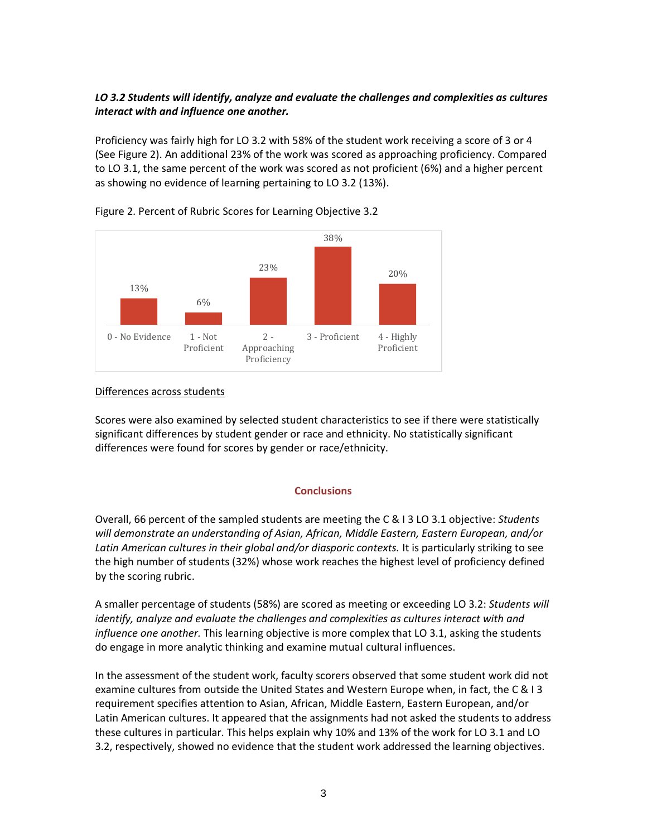# *LO 3.2 Students will identify, analyze and evaluate the challenges and complexities as cultures interact with and influence one another.*

Proficiency was fairly high for LO 3.2 with 58% of the student work receiving a score of 3 or 4 (See Figure 2). An additional 23% of the work was scored as approaching proficiency. Compared to LO 3.1, the same percent of the work was scored as not proficient (6%) and a higher percent as showing no evidence of learning pertaining to LO 3.2 (13%).



# Figure 2. Percent of Rubric Scores for Learning Objective 3.2

# Differences across students

Scores were also examined by selected student characteristics to see if there were statistically significant differences by student gender or race and ethnicity. No statistically significant differences were found for scores by gender or race/ethnicity.

# **Conclusions**

Overall, 66 percent of the sampled students are meeting the C & I 3 LO 3.1 objective: *Students will demonstrate an understanding of Asian, African, Middle Eastern, Eastern European, and/or Latin American cultures in their global and/or diasporic contexts.* It is particularly striking to see the high number of students (32%) whose work reaches the highest level of proficiency defined by the scoring rubric.

A smaller percentage of students (58%) are scored as meeting or exceeding LO 3.2: *Students will identify, analyze and evaluate the challenges and complexities as cultures interact with and influence one another.* This learning objective is more complex that LO 3.1, asking the students do engage in more analytic thinking and examine mutual cultural influences.

In the assessment of the student work, faculty scorers observed that some student work did not examine cultures from outside the United States and Western Europe when, in fact, the C & I 3 requirement specifies attention to Asian, African, Middle Eastern, Eastern European, and/or Latin American cultures. It appeared that the assignments had not asked the students to address these cultures in particular. This helps explain why 10% and 13% of the work for LO 3.1 and LO 3.2, respectively, showed no evidence that the student work addressed the learning objectives.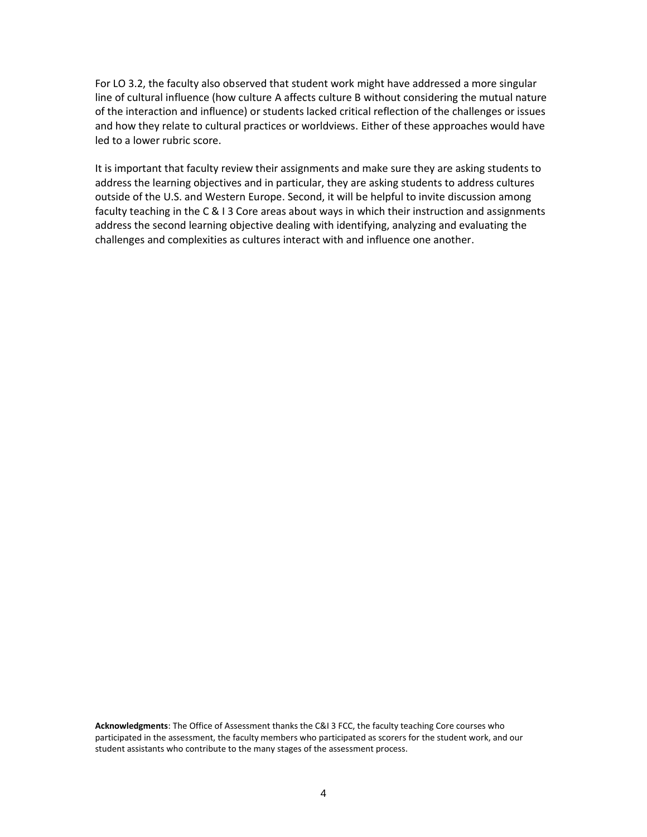For LO 3.2, the faculty also observed that student work might have addressed a more singular line of cultural influence (how culture A affects culture B without considering the mutual nature of the interaction and influence) or students lacked critical reflection of the challenges or issues and how they relate to cultural practices or worldviews. Either of these approaches would have led to a lower rubric score.

It is important that faculty review their assignments and make sure they are asking students to address the learning objectives and in particular, they are asking students to address cultures outside of the U.S. and Western Europe. Second, it will be helpful to invite discussion among faculty teaching in the C & I 3 Core areas about ways in which their instruction and assignments address the second learning objective dealing with identifying, analyzing and evaluating the challenges and complexities as cultures interact with and influence one another.

**Acknowledgments**: The Office of Assessment thanks the C&I 3 FCC, the faculty teaching Core courses who participated in the assessment, the faculty members who participated as scorers for the student work, and our student assistants who contribute to the many stages of the assessment process.